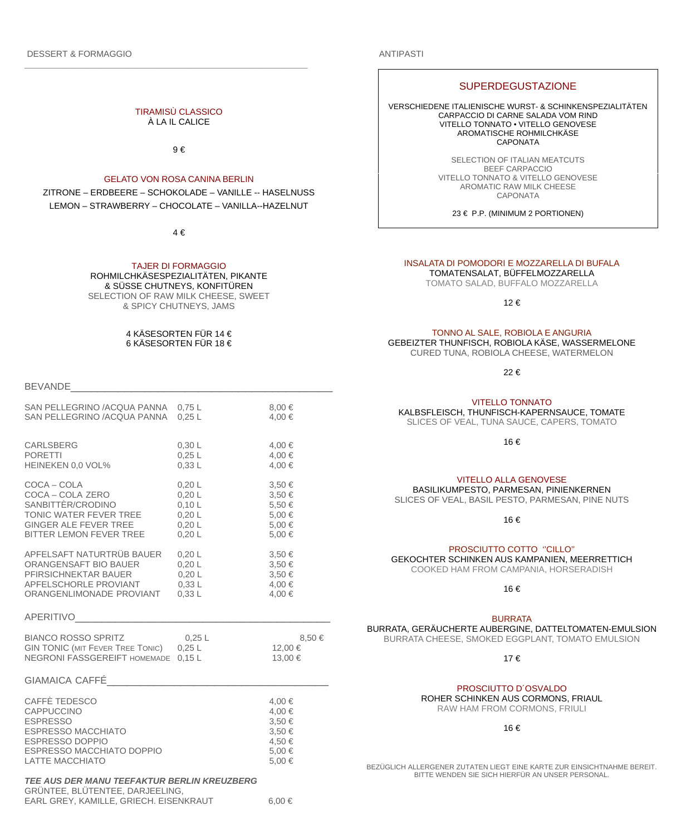DESSERT & FORMAGGIO

## ANTIPASTI

#### TIRAMISÙ CLASSICO À LA IL CALICE

9 €

## GELATO VON ROSA CANINA BERLIN

ZITRONE – ERDBEERE – SCHOKOLADE – VANILLE -- HASELNUSS LEMON – STRAWBERRY – CHOCOLATE – VANILLA--HAZELNUT

 $\Delta f$ 

#### TAJER DI FORMAGGIO ROHMILCHKÄSESPEZIALITÄTEN, PIKANTE & SÜSSE CHUTNEYS, KONFITÜREN SELECTION OF RAW MILK CHEESE, SWEET & SPICY CHUTNEYS, JAMS

#### 4 KÄSESORTEN FÜR 14 € 6 KÄSESORTEN FÜR 18 €

BEVANDE

| SAN PELLEGRINO /ACQUA PANNA                                                                                                                                         | $0,75$ L | 8,00€                                                         |  |  |
|---------------------------------------------------------------------------------------------------------------------------------------------------------------------|----------|---------------------------------------------------------------|--|--|
| SAN PELLEGRINO /ACQUA PANNA                                                                                                                                         | $0,25$ L | 4,00 €                                                        |  |  |
| <b>CARLSBERG</b>                                                                                                                                                    | 0,30 L   | 4,00 €                                                        |  |  |
| <b>PORETTI</b>                                                                                                                                                      | $0,25$ L | 4,00 €                                                        |  |  |
| HEINEKEN 0,0 VOL%                                                                                                                                                   | 0,33L    | 4,00 €                                                        |  |  |
| COCA - COLA                                                                                                                                                         | 0,20 L   | 3,50€                                                         |  |  |
| COCA - COLA ZERO                                                                                                                                                    | 0,20 L   | 3,50€                                                         |  |  |
| SANBITTÈR/CRODINO                                                                                                                                                   | 0,10 L   | 5,50€                                                         |  |  |
| TONIC WATER FEVER TREE                                                                                                                                              | 0,20 L   | 5,00€                                                         |  |  |
| GINGER ALE FEVER TREE                                                                                                                                               | 0,20 L   | 5,00 €                                                        |  |  |
| BITTER LEMON FEVER TREE                                                                                                                                             | 0,20 L   | 5,00€                                                         |  |  |
| APFELSAFT NATURTRÜB BAUER                                                                                                                                           | 0,20 L   | 3,50€                                                         |  |  |
| ORANGENSAFT BIO BAUER                                                                                                                                               | 0,20 L   | 3,50€                                                         |  |  |
| PFIRSICHNEKTAR BAUER                                                                                                                                                | 0,20 L   | 3,50€                                                         |  |  |
| APFELSCHORLE PROVIANT                                                                                                                                               | 0,33L    | 4,00 €                                                        |  |  |
| ORANGENLIMONADE PROVIANT                                                                                                                                            | 0,33L    | 4,00 €                                                        |  |  |
| <b>APERITIVO</b>                                                                                                                                                    |          |                                                               |  |  |
| <b>BIANCO ROSSO SPRITZ</b>                                                                                                                                          | $0,25$ L | 8,50€                                                         |  |  |
| <b>GIN TONIC (MIT FEVER TREE TONIC)</b>                                                                                                                             | $0,25$ L | 12,00€                                                        |  |  |
| NEGRONI FASSGEREIFT HOMEMADE                                                                                                                                        | $0,15$ L | 13,00€                                                        |  |  |
| GIAMAICA CAFFÉ                                                                                                                                                      |          |                                                               |  |  |
| CAFFÈ TEDESCO<br><b>CAPPUCCINO</b><br><b>ESPRESSO</b><br><b>ESPRESSO MACCHIATO</b><br><b>ESPRESSO DOPPIO</b><br>ESPRESSO MACCHIATO DOPPIO<br><b>LATTE MACCHIATO</b> |          | 4,00 €<br>4,00 €<br>3,50€<br>3,50€<br>4,50€<br>5,00€<br>5,00€ |  |  |
| TEE AUS DER MANU TEEFAKTUR BERLIN KREUZBERG                                                                                                                         |          |                                                               |  |  |

#### GRÜNTEE, BLÜTENTEE, DARJEELING, EARL GREY, KAMILLE, GRIECH. EISENKRAUT 6,00 €

# **SUPERDEGUSTAZIONE**

VERSCHIEDENE ITALIENISCHE WURST- & SCHINKENSPEZIALITÄTEN CARPACCIO DI CARNE SALADA VOM RIND VITELLO TONNATO • VITELLO GENOVESE AROMATISCHE ROHMILCHKÄSE CAPONATA

> SELECTION OF ITALIAN MEATCUTS BEEF CARPACCIO VITELLO TONNATO & VITELLO GENOVESE AROMATIC RAW MILK CHEESE CAPONATA

> > 23 € P.P. (MINIMUM 2 PORTIONEN)

#### INSALATA DI POMODORI E MOZZARELLA DI BUFALA TOMATENSALAT, BÜFFELMOZZARELLA

TOMATO SALAD, BUFFALO MOZZARELLA

12 €

TONNO AL SALE, ROBIOLA E ANGURIA

GEBEIZTER THUNFISCH, ROBIOLA KÄSE, WASSERMELONE CURED TUNA, ROBIOLA CHEESE, WATERMELON

22 €

#### VITELLO TONNATO

KALBSFLEISCH, THUNFISCH-KAPERNSAUCE, TOMATE SLICES OF VEAL, TUNA SAUCE, CAPERS, TOMATO

16 €

BASILIKUMPESTO, PARMESAN, PINIENKERNEN SLICES OF VEAL, BASIL PESTO, PARMESAN, PINE NUTS

16 €

#### PROSCIUTTO COTTO ''CILLO''

GEKOCHTER SCHINKEN AUS KAMPANIEN, MEERRETTICH COOKED HAM FROM CAMPANIA, HORSERADISH

16 €

#### BURRATA

BURRATA, GERÄUCHERTE AUBERGINE, DATTELTOMATEN-EMULSION BURRATA CHEESE, SMOKED EGGPLANT, TOMATO EMULSION

17 €

## PROSCIUTTO D´OSVALDO

ROHER SCHINKEN AUS CORMONS, FRIAUL

RAW HAM FROM CORMONS, FRIULI

16 €

BEZÜGLICH ALLERGENER ZUTATEN LIEGT EINE KARTE ZUR EINSICHTNAHME BEREIT. BITTE WENDEN SIE SICH HIERFÜR AN UNSER PERSONAL.

VITELLO ALLA GENOVESE